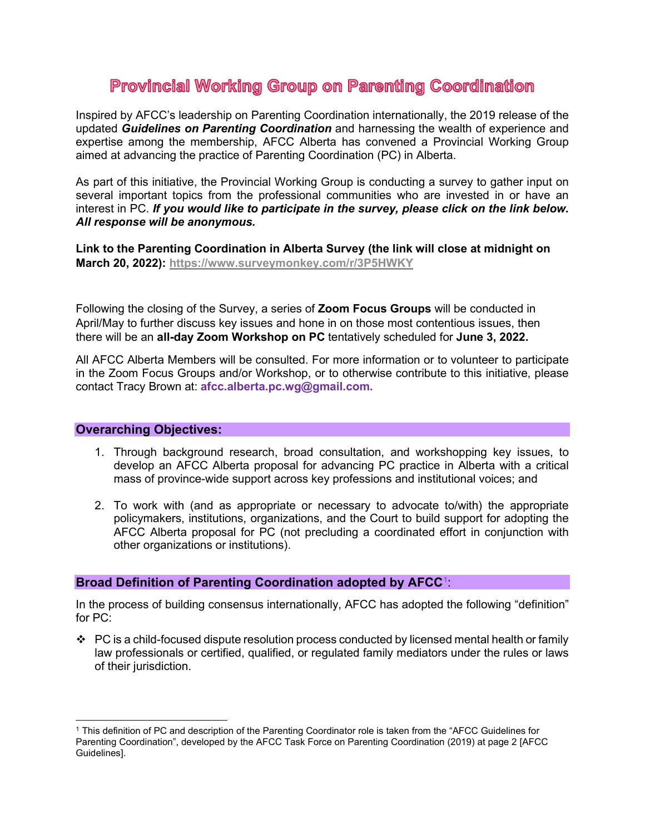# **Provincial Working Group on Parenting Coordination**

Inspired by AFCC's leadership on Parenting Coordination internationally, the 2019 release of the updated *Guidelines on Parenting Coordination* and harnessing the wealth of experience and expertise among the membership, AFCC Alberta has convened a Provincial Working Group aimed at advancing the practice of Parenting Coordination (PC) in Alberta.

As part of this initiative, the Provincial Working Group is conducting a survey to gather input on several important topics from the professional communities who are invested in or have an interest in PC. *If you would like to participate in the survey, please click on the link below. All response will be anonymous.*

**Link to the Parenting Coordination in Alberta Survey (the link will close at midnight on March 20, 2022):<https://www.surveymonkey.com/r/3P5HWKY>**

Following the closing of the Survey, a series of **Zoom Focus Groups** will be conducted in April/May to further discuss key issues and hone in on those most contentious issues, then there will be an **all-day Zoom Workshop on PC** tentatively scheduled for **June 3, 2022.**

All AFCC Alberta Members will be consulted. For more information or to volunteer to participate in the Zoom Focus Groups and/or Workshop, or to otherwise contribute to this initiative, please contact Tracy Brown at: **[afcc.alberta.pc.wg@gmail.com.](mailto:afcc.alberta.pc.wg@gmail.com)**

## **Overarching Objectives:**

- 1. Through background research, broad consultation, and workshopping key issues, to develop an AFCC Alberta proposal for advancing PC practice in Alberta with a critical mass of province-wide support across key professions and institutional voices; and
- 2. To work with (and as appropriate or necessary to advocate to/with) the appropriate policymakers, institutions, organizations, and the Court to build support for adopting the AFCC Alberta proposal for PC (not precluding a coordinated effort in conjunction with other organizations or institutions).

# **Broad Definition of Parenting Coordination adopted by AFCC**[1](#page-0-0) :

In the process of building consensus internationally, AFCC has adopted the following "definition" for PC:

\* PC is a child-focused dispute resolution process conducted by licensed mental health or family law professionals or certified, qualified, or regulated family mediators under the rules or laws of their jurisdiction.

<span id="page-0-0"></span><sup>1</sup> This definition of PC and description of the Parenting Coordinator role is taken from the "AFCC Guidelines for Parenting Coordination", developed by the AFCC Task Force on Parenting Coordination (2019) at page 2 [AFCC Guidelines].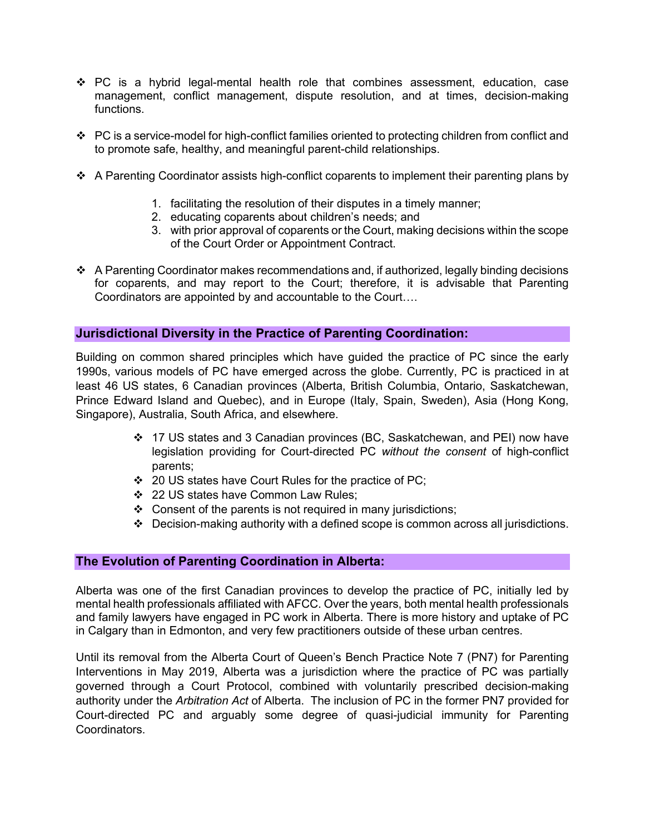- $\div$  PC is a hybrid legal-mental health role that combines assessment, education, case management, conflict management, dispute resolution, and at times, decision-making functions.
- $\cdot \cdot$  PC is a service-model for high-conflict families oriented to protecting children from conflict and to promote safe, healthy, and meaningful parent-child relationships.
- $\div$  A Parenting Coordinator assists high-conflict coparents to implement their parenting plans by
	- 1. facilitating the resolution of their disputes in a timely manner;
	- 2. educating coparents about children's needs; and
	- 3. with prior approval of coparents or the Court, making decisions within the scope of the Court Order or Appointment Contract.
- $\div$  A Parenting Coordinator makes recommendations and, if authorized, legally binding decisions for coparents, and may report to the Court; therefore, it is advisable that Parenting Coordinators are appointed by and accountable to the Court….

#### **Jurisdictional Diversity in the Practice of Parenting Coordination:**

Building on common shared principles which have guided the practice of PC since the early 1990s, various models of PC have emerged across the globe. Currently, PC is practiced in at least 46 US states, 6 Canadian provinces (Alberta, British Columbia, Ontario, Saskatchewan, Prince Edward Island and Quebec), and in Europe (Italy, Spain, Sweden), Asia (Hong Kong, Singapore), Australia, South Africa, and elsewhere.

- 17 US states and 3 Canadian provinces (BC, Saskatchewan, and PEI) now have legislation providing for Court-directed PC *without the consent* of high-conflict parents;
- 20 US states have Court Rules for the practice of PC;
- 22 US states have Common Law Rules;
- $\div$  Consent of the parents is not required in many jurisdictions;
- Decision-making authority with a defined scope is common across all jurisdictions.

## **The Evolution of Parenting Coordination in Alberta:**

Alberta was one of the first Canadian provinces to develop the practice of PC, initially led by mental health professionals affiliated with AFCC. Over the years, both mental health professionals and family lawyers have engaged in PC work in Alberta. There is more history and uptake of PC in Calgary than in Edmonton, and very few practitioners outside of these urban centres.

Until its removal from the Alberta Court of Queen's Bench Practice Note 7 (PN7) for Parenting Interventions in May 2019, Alberta was a jurisdiction where the practice of PC was partially governed through a Court Protocol, combined with voluntarily prescribed decision-making authority under the *Arbitration Act* of Alberta. The inclusion of PC in the former PN7 provided for Court-directed PC and arguably some degree of quasi-judicial immunity for Parenting Coordinators.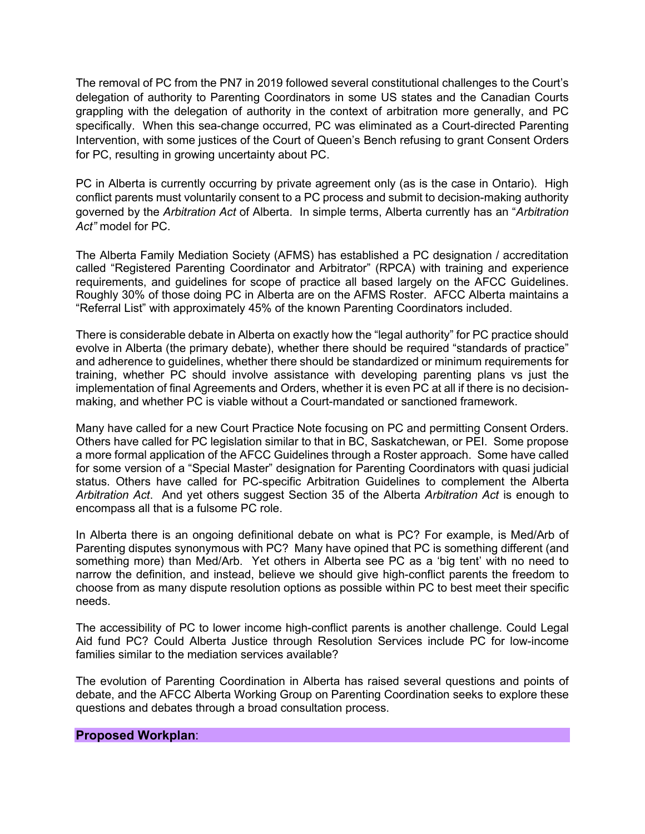The removal of PC from the PN7 in 2019 followed several constitutional challenges to the Court's delegation of authority to Parenting Coordinators in some US states and the Canadian Courts grappling with the delegation of authority in the context of arbitration more generally, and PC specifically. When this sea-change occurred, PC was eliminated as a Court-directed Parenting Intervention, with some justices of the Court of Queen's Bench refusing to grant Consent Orders for PC, resulting in growing uncertainty about PC.

PC in Alberta is currently occurring by private agreement only (as is the case in Ontario). High conflict parents must voluntarily consent to a PC process and submit to decision-making authority governed by the *Arbitration Act* of Alberta. In simple terms, Alberta currently has an "*Arbitration Act"* model for PC.

The Alberta Family Mediation Society (AFMS) has established a PC designation / accreditation called "Registered Parenting Coordinator and Arbitrator" (RPCA) with training and experience requirements, and guidelines for scope of practice all based largely on the AFCC Guidelines. Roughly 30% of those doing PC in Alberta are on the AFMS Roster. AFCC Alberta maintains a "Referral List" with approximately 45% of the known Parenting Coordinators included.

There is considerable debate in Alberta on exactly how the "legal authority" for PC practice should evolve in Alberta (the primary debate), whether there should be required "standards of practice" and adherence to guidelines, whether there should be standardized or minimum requirements for training, whether PC should involve assistance with developing parenting plans vs just the implementation of final Agreements and Orders, whether it is even PC at all if there is no decisionmaking, and whether PC is viable without a Court-mandated or sanctioned framework.

Many have called for a new Court Practice Note focusing on PC and permitting Consent Orders. Others have called for PC legislation similar to that in BC, Saskatchewan, or PEI. Some propose a more formal application of the AFCC Guidelines through a Roster approach. Some have called for some version of a "Special Master" designation for Parenting Coordinators with quasi judicial status. Others have called for PC-specific Arbitration Guidelines to complement the Alberta *Arbitration Act*. And yet others suggest Section 35 of the Alberta *Arbitration Act* is enough to encompass all that is a fulsome PC role.

In Alberta there is an ongoing definitional debate on what is PC? For example, is Med/Arb of Parenting disputes synonymous with PC? Many have opined that PC is something different (and something more) than Med/Arb. Yet others in Alberta see PC as a 'big tent' with no need to narrow the definition, and instead, believe we should give high-conflict parents the freedom to choose from as many dispute resolution options as possible within PC to best meet their specific needs.

The accessibility of PC to lower income high-conflict parents is another challenge. Could Legal Aid fund PC? Could Alberta Justice through Resolution Services include PC for low-income families similar to the mediation services available?

The evolution of Parenting Coordination in Alberta has raised several questions and points of debate, and the AFCC Alberta Working Group on Parenting Coordination seeks to explore these questions and debates through a broad consultation process.

#### **Proposed Workplan**: